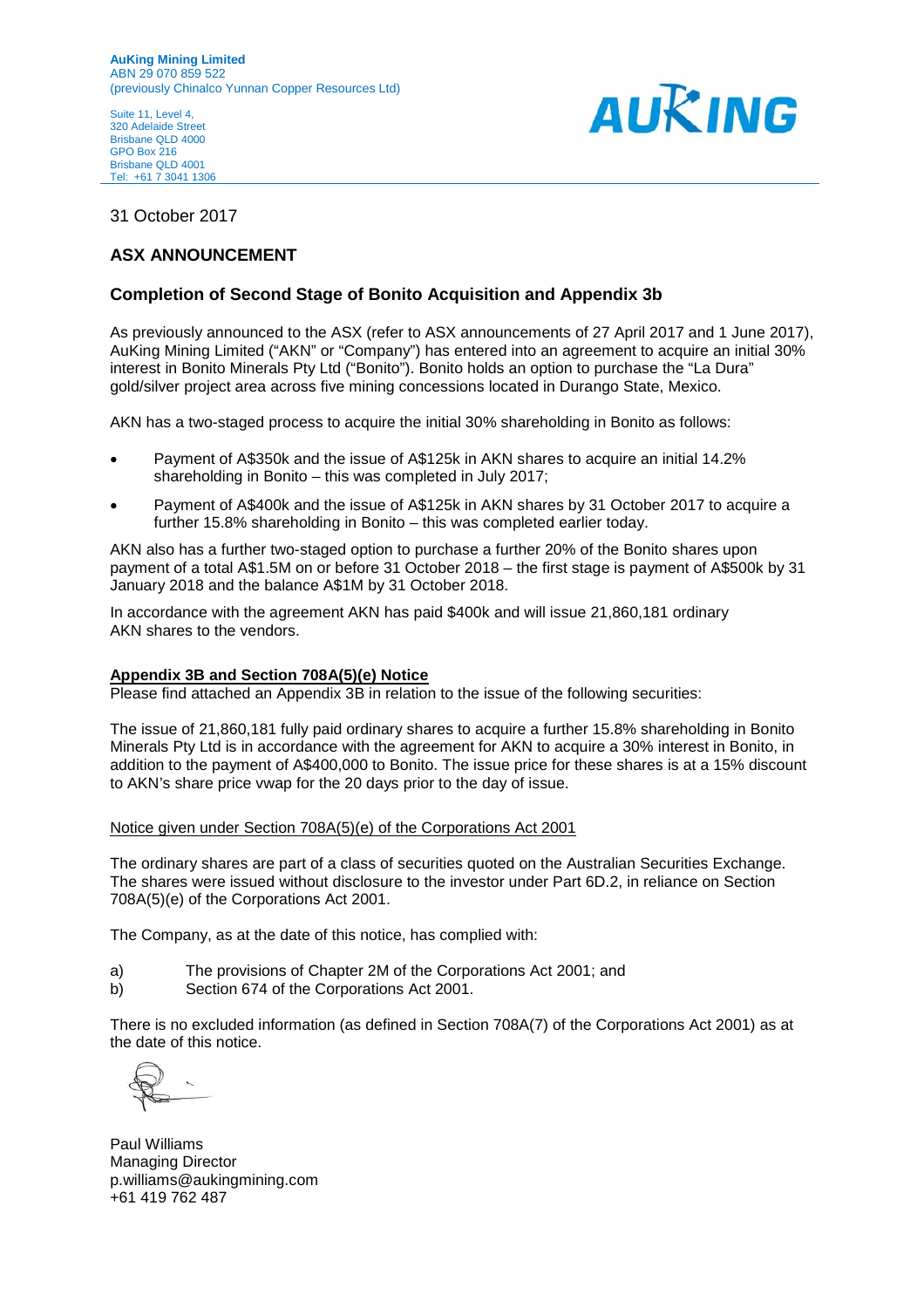Suite 11, Level 4, 320 Adelaide Street Brisbane QLD 4000 GPO Box 216 Brisbane QLD 4001 Tel: +61 7 3041 1306



#### 31 October 2017

#### **ASX ANNOUNCEMENT**

#### **Completion of Second Stage of Bonito Acquisition and Appendix 3b**

As previously announced to the ASX (refer to ASX announcements of 27 April 2017 and 1 June 2017), AuKing Mining Limited ("AKN" or "Company") has entered into an agreement to acquire an initial 30% interest in Bonito Minerals Pty Ltd ("Bonito"). Bonito holds an option to purchase the "La Dura" gold/silver project area across five mining concessions located in Durango State, Mexico.

AKN has a two-staged process to acquire the initial 30% shareholding in Bonito as follows:

- Payment of A\$350k and the issue of A\$125k in AKN shares to acquire an initial 14.2% shareholding in Bonito – this was completed in July 2017;
- Payment of A\$400k and the issue of A\$125k in AKN shares by 31 October 2017 to acquire a further 15.8% shareholding in Bonito – this was completed earlier today.

AKN also has a further two-staged option to purchase a further 20% of the Bonito shares upon payment of a total A\$1.5M on or before 31 October 2018 – the first stage is payment of A\$500k by 31 January 2018 and the balance A\$1M by 31 October 2018.

In accordance with the agreement AKN has paid \$400k and will issue 21,860,181 ordinary AKN shares to the vendors.

#### **Appendix 3B and Section 708A(5)(e) Notice**

Please find attached an Appendix 3B in relation to the issue of the following securities:

The issue of 21,860,181 fully paid ordinary shares to acquire a further 15.8% shareholding in Bonito Minerals Pty Ltd is in accordance with the agreement for AKN to acquire a 30% interest in Bonito, in addition to the payment of A\$400,000 to Bonito. The issue price for these shares is at a 15% discount to AKN's share price vwap for the 20 days prior to the day of issue.

#### Notice given under Section 708A(5)(e) of the Corporations Act 2001

The ordinary shares are part of a class of securities quoted on the Australian Securities Exchange. The shares were issued without disclosure to the investor under Part 6D.2, in reliance on Section 708A(5)(e) of the Corporations Act 2001.

The Company, as at the date of this notice, has complied with:

- a) The provisions of Chapter 2M of the Corporations Act 2001; and
- b) Section 674 of the Corporations Act 2001.

There is no excluded information (as defined in Section 708A(7) of the Corporations Act 2001) as at the date of this notice.

Paul Williams Managing Director p.williams@aukingmining.com +61 419 762 487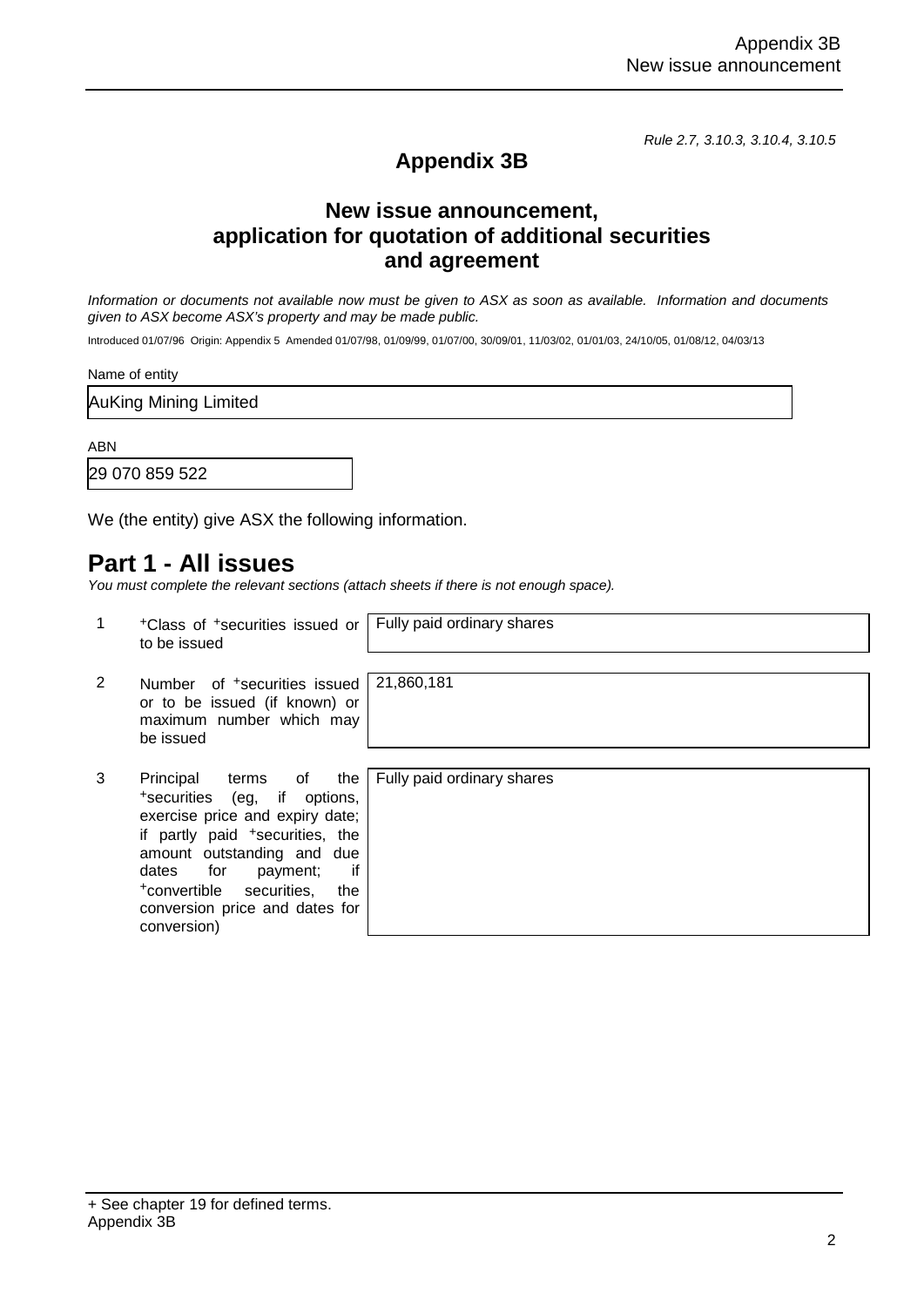*Rule 2.7, 3.10.3, 3.10.4, 3.10.5*

### **Appendix 3B**

### **New issue announcement, application for quotation of additional securities and agreement**

*Information or documents not available now must be given to ASX as soon as available. Information and documents given to ASX become ASX's property and may be made public.*

Introduced 01/07/96 Origin: Appendix 5 Amended 01/07/98, 01/09/99, 01/07/00, 30/09/01, 11/03/02, 01/01/03, 24/10/05, 01/08/12, 04/03/13

Name of entity

AuKing Mining Limited

ABN

29 070 859 522

We (the entity) give ASX the following information.

### **Part 1 - All issues**

*You must complete the relevant sections (attach sheets if there is not enough space).*

|   | <sup>+</sup> Class of <sup>+</sup> securities issued or<br>to be issued                                                                                                                                                                                                                               | Fully paid ordinary shares |
|---|-------------------------------------------------------------------------------------------------------------------------------------------------------------------------------------------------------------------------------------------------------------------------------------------------------|----------------------------|
| 2 | Number of <sup>+</sup> securities issued<br>or to be issued (if known) or<br>maximum number which may<br>be issued                                                                                                                                                                                    | 21,860,181                 |
| 3 | Principal<br>terms of<br>the<br>if options,<br>+securities (eg,<br>exercise price and expiry date;<br>if partly paid <sup>+</sup> securities, the<br>amount outstanding and due<br>if<br>dates for<br>payment;<br>+convertible<br>securities,<br>the<br>conversion price and dates for<br>conversion) | Fully paid ordinary shares |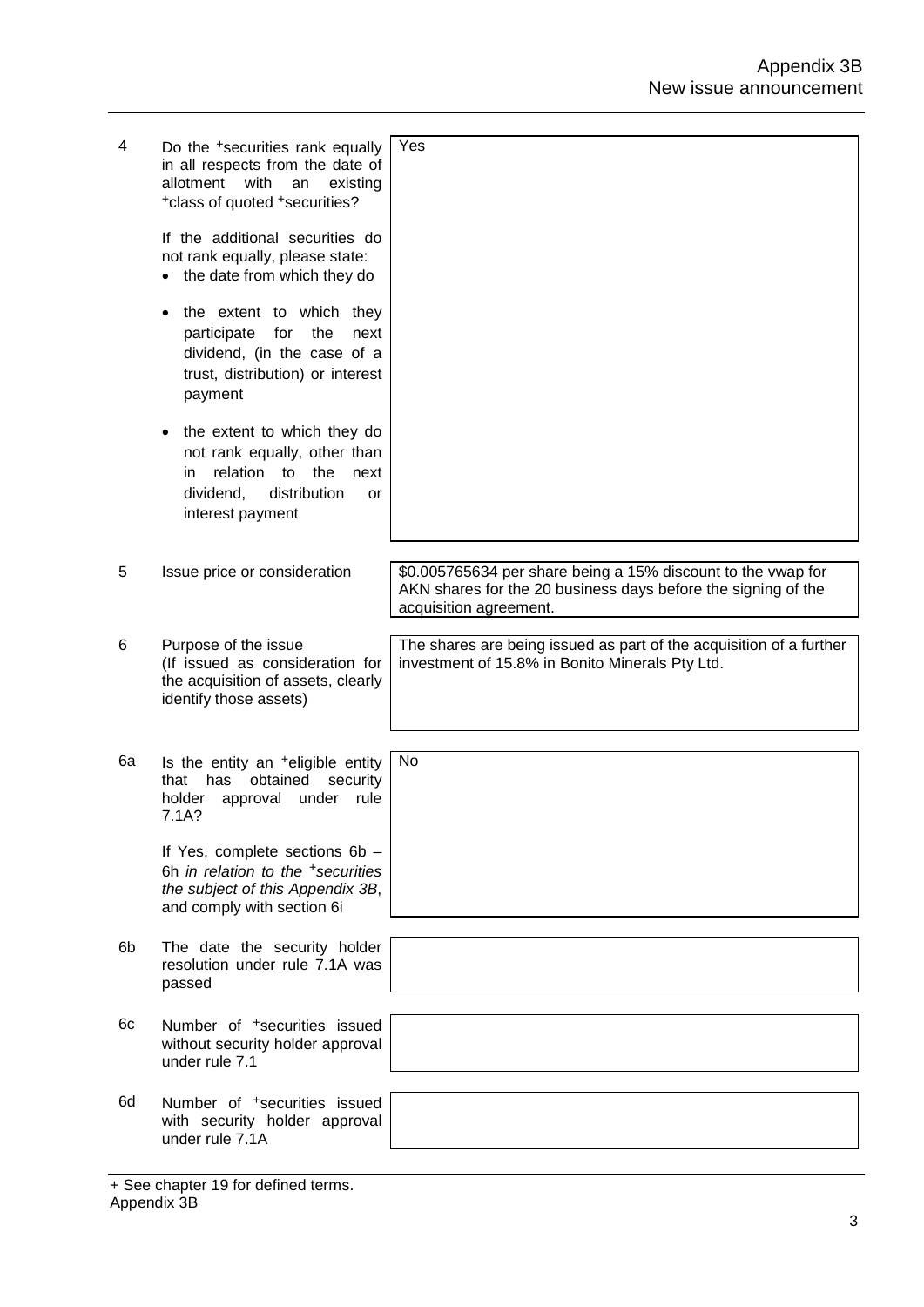| 4  | Do the <sup>+</sup> securities rank equally<br>in all respects from the date of<br>allotment<br>with<br>existing<br>an<br>*class of quoted *securities?<br>If the additional securities do<br>not rank equally, please state:<br>the date from which they do<br>the extent to which they<br>participate<br>for<br>the<br>next<br>dividend, (in the case of a<br>trust, distribution) or interest<br>payment<br>the extent to which they do<br>not rank equally, other than<br>relation<br>the<br>to<br>next<br>in.<br>dividend,<br>distribution<br>or | Yes                                                                                                                                                     |
|----|-------------------------------------------------------------------------------------------------------------------------------------------------------------------------------------------------------------------------------------------------------------------------------------------------------------------------------------------------------------------------------------------------------------------------------------------------------------------------------------------------------------------------------------------------------|---------------------------------------------------------------------------------------------------------------------------------------------------------|
|    | interest payment                                                                                                                                                                                                                                                                                                                                                                                                                                                                                                                                      |                                                                                                                                                         |
|    |                                                                                                                                                                                                                                                                                                                                                                                                                                                                                                                                                       |                                                                                                                                                         |
| 5  | Issue price or consideration                                                                                                                                                                                                                                                                                                                                                                                                                                                                                                                          | \$0.005765634 per share being a 15% discount to the vwap for<br>AKN shares for the 20 business days before the signing of the<br>acquisition agreement. |
| 6  | Purpose of the issue<br>(If issued as consideration for<br>the acquisition of assets, clearly<br>identify those assets)                                                                                                                                                                                                                                                                                                                                                                                                                               | The shares are being issued as part of the acquisition of a further<br>investment of 15.8% in Bonito Minerals Pty Ltd.                                  |
| 6а | Is the entity an <sup>+</sup> eligible entity                                                                                                                                                                                                                                                                                                                                                                                                                                                                                                         | No                                                                                                                                                      |
|    | obtained<br>security<br>that<br>has<br>approval<br>holder<br>under<br>rule<br>7.1A?                                                                                                                                                                                                                                                                                                                                                                                                                                                                   |                                                                                                                                                         |
|    | If Yes, complete sections 6b -<br>6h in relation to the +securities<br>the subject of this Appendix 3B,<br>and comply with section 6i                                                                                                                                                                                                                                                                                                                                                                                                                 |                                                                                                                                                         |
| 6b | The date the security holder<br>resolution under rule 7.1A was<br>passed                                                                                                                                                                                                                                                                                                                                                                                                                                                                              |                                                                                                                                                         |
| 6с | Number of <sup>+</sup> securities issued<br>without security holder approval<br>under rule 7.1                                                                                                                                                                                                                                                                                                                                                                                                                                                        |                                                                                                                                                         |
| 6d | Number of <sup>+</sup> securities issued<br>with security holder approval<br>under rule 7.1A                                                                                                                                                                                                                                                                                                                                                                                                                                                          |                                                                                                                                                         |

<sup>+</sup> See chapter 19 for defined terms. Appendix 3B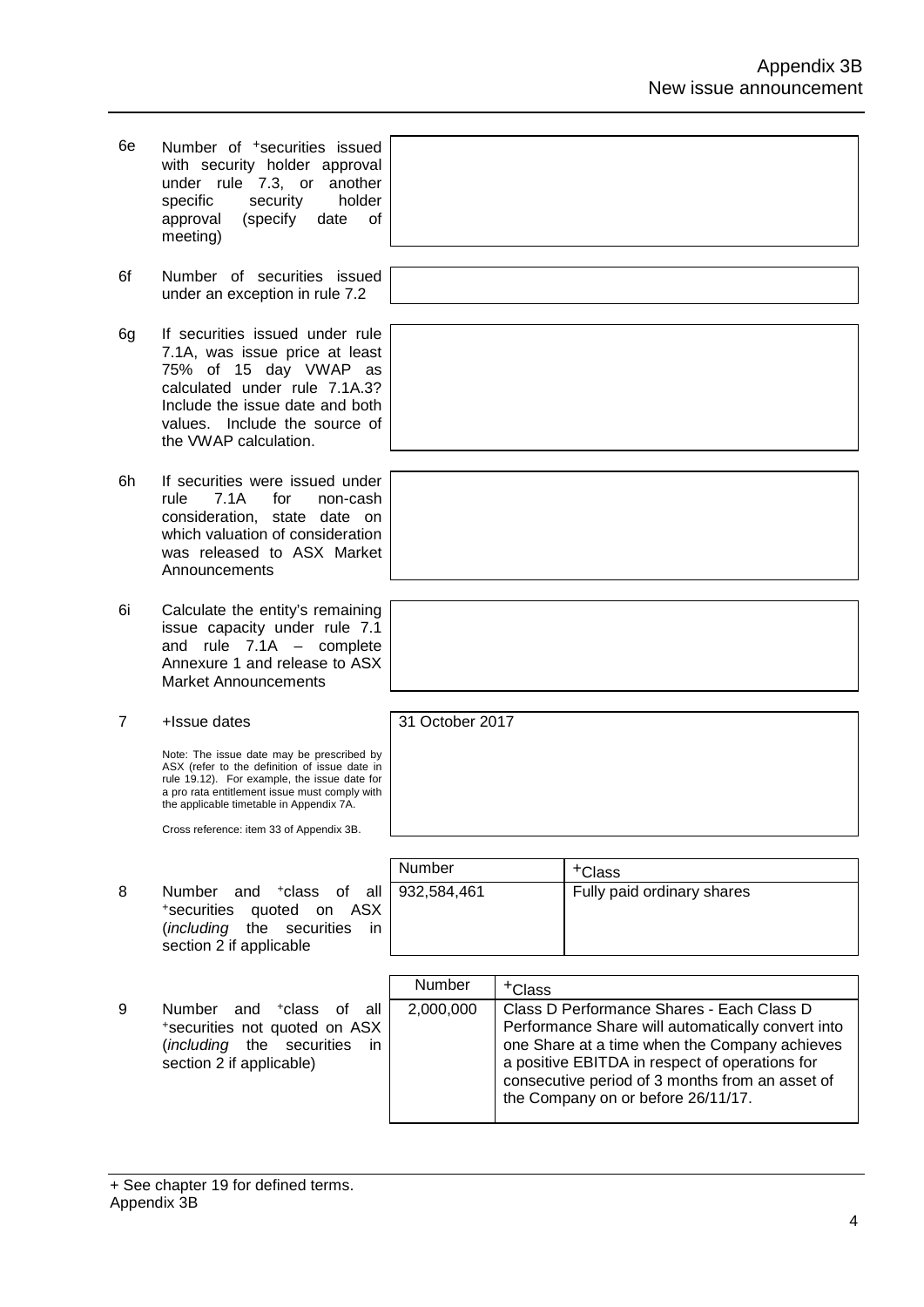| 6e | Number of <sup>+</sup> securities issued<br>with security holder approval<br>under rule 7.3, or another<br>specific<br>security<br>holder<br>(specify<br>0f<br>approval<br>date<br>meeting)                                             |                 |                    |                                                                                                                                                                                                                                                                                            |
|----|-----------------------------------------------------------------------------------------------------------------------------------------------------------------------------------------------------------------------------------------|-----------------|--------------------|--------------------------------------------------------------------------------------------------------------------------------------------------------------------------------------------------------------------------------------------------------------------------------------------|
| 6f | Number of securities issued<br>under an exception in rule 7.2                                                                                                                                                                           |                 |                    |                                                                                                                                                                                                                                                                                            |
| 6g | If securities issued under rule<br>7.1A, was issue price at least<br>75% of 15 day VWAP as<br>calculated under rule 7.1A.3?<br>Include the issue date and both<br>values. Include the source of<br>the VWAP calculation.                |                 |                    |                                                                                                                                                                                                                                                                                            |
| 6h | If securities were issued under<br>rule<br>7.1A<br>for<br>non-cash<br>consideration, state date on<br>which valuation of consideration<br>was released to ASX Market<br>Announcements                                                   |                 |                    |                                                                                                                                                                                                                                                                                            |
| 6i | Calculate the entity's remaining<br>issue capacity under rule 7.1<br>and rule $7.1A -$ complete<br>Annexure 1 and release to ASX<br><b>Market Announcements</b>                                                                         |                 |                    |                                                                                                                                                                                                                                                                                            |
| 7  | +Issue dates                                                                                                                                                                                                                            | 31 October 2017 |                    |                                                                                                                                                                                                                                                                                            |
|    | Note: The issue date may be prescribed by<br>ASX (refer to the definition of issue date in<br>rule 19.12). For example, the issue date for<br>a pro rata entitlement issue must comply with<br>the applicable timetable in Appendix 7A. |                 |                    |                                                                                                                                                                                                                                                                                            |
|    | Cross reference: item 33 of Appendix 3B.                                                                                                                                                                                                |                 |                    |                                                                                                                                                                                                                                                                                            |
|    |                                                                                                                                                                                                                                         | Number          |                    | <sup>+</sup> Class                                                                                                                                                                                                                                                                         |
| 8  | <b>Number</b><br>+class<br>of all<br>and<br>quoted on ASX<br>*securities<br>(including<br>the securities<br>in.<br>section 2 if applicable                                                                                              | 932,584,461     |                    | Fully paid ordinary shares                                                                                                                                                                                                                                                                 |
|    |                                                                                                                                                                                                                                         | <b>Number</b>   |                    |                                                                                                                                                                                                                                                                                            |
| 9  | Number<br><sup>+</sup> class<br>all<br>and<br>0f.<br>*securities not quoted on ASX<br>(including the securities<br>in.<br>section 2 if applicable)                                                                                      | 2,000,000       | <sup>+</sup> Class | Class D Performance Shares - Each Class D<br>Performance Share will automatically convert into<br>one Share at a time when the Company achieves<br>a positive EBITDA in respect of operations for<br>consecutive period of 3 months from an asset of<br>the Company on or before 26/11/17. |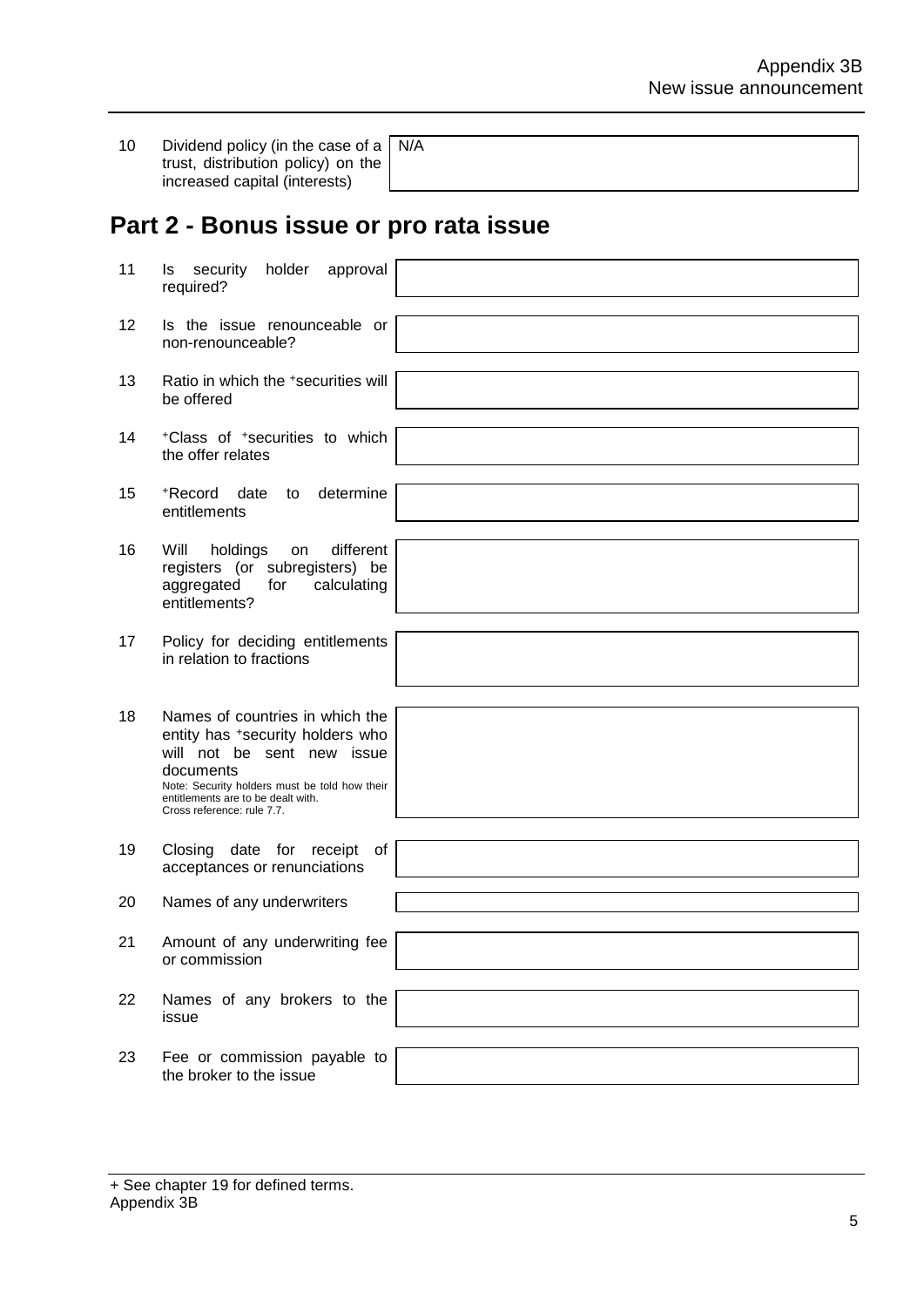| 10 | Dividend policy (in the case of a $\mid$ N/A |  |  |  |  |
|----|----------------------------------------------|--|--|--|--|
|    | trust, distribution policy) on the           |  |  |  |  |
|    | increased capital (interests)                |  |  |  |  |

## **Part 2 - Bonus issue or pro rata issue**

| 11 | holder<br>security<br>approval<br>ls<br>required?                                                                                                                                                                                   |  |
|----|-------------------------------------------------------------------------------------------------------------------------------------------------------------------------------------------------------------------------------------|--|
| 12 | Is the issue renounceable or<br>non-renounceable?                                                                                                                                                                                   |  |
| 13 | Ratio in which the *securities will<br>be offered                                                                                                                                                                                   |  |
| 14 | <sup>+</sup> Class of <sup>+</sup> securities to which<br>the offer relates                                                                                                                                                         |  |
| 15 | +Record<br>date<br>to<br>determine<br>entitlements                                                                                                                                                                                  |  |
| 16 | Will<br>different<br>holdings<br>on<br>registers (or subregisters) be<br>for<br>aggregated<br>calculating<br>entitlements?                                                                                                          |  |
| 17 | Policy for deciding entitlements<br>in relation to fractions                                                                                                                                                                        |  |
| 18 | Names of countries in which the<br>entity has +security holders who<br>will not be sent new issue<br>documents<br>Note: Security holders must be told how their<br>entitlements are to be dealt with.<br>Cross reference: rule 7.7. |  |
| 19 | Closing date for receipt<br>of<br>acceptances or renunciations                                                                                                                                                                      |  |
| 20 | Names of any underwriters                                                                                                                                                                                                           |  |
| 21 | Amount of any underwriting fee<br>or commission                                                                                                                                                                                     |  |
| 22 | Names of any brokers to the<br>issue                                                                                                                                                                                                |  |
| 23 | Fee or commission payable to<br>the broker to the issue                                                                                                                                                                             |  |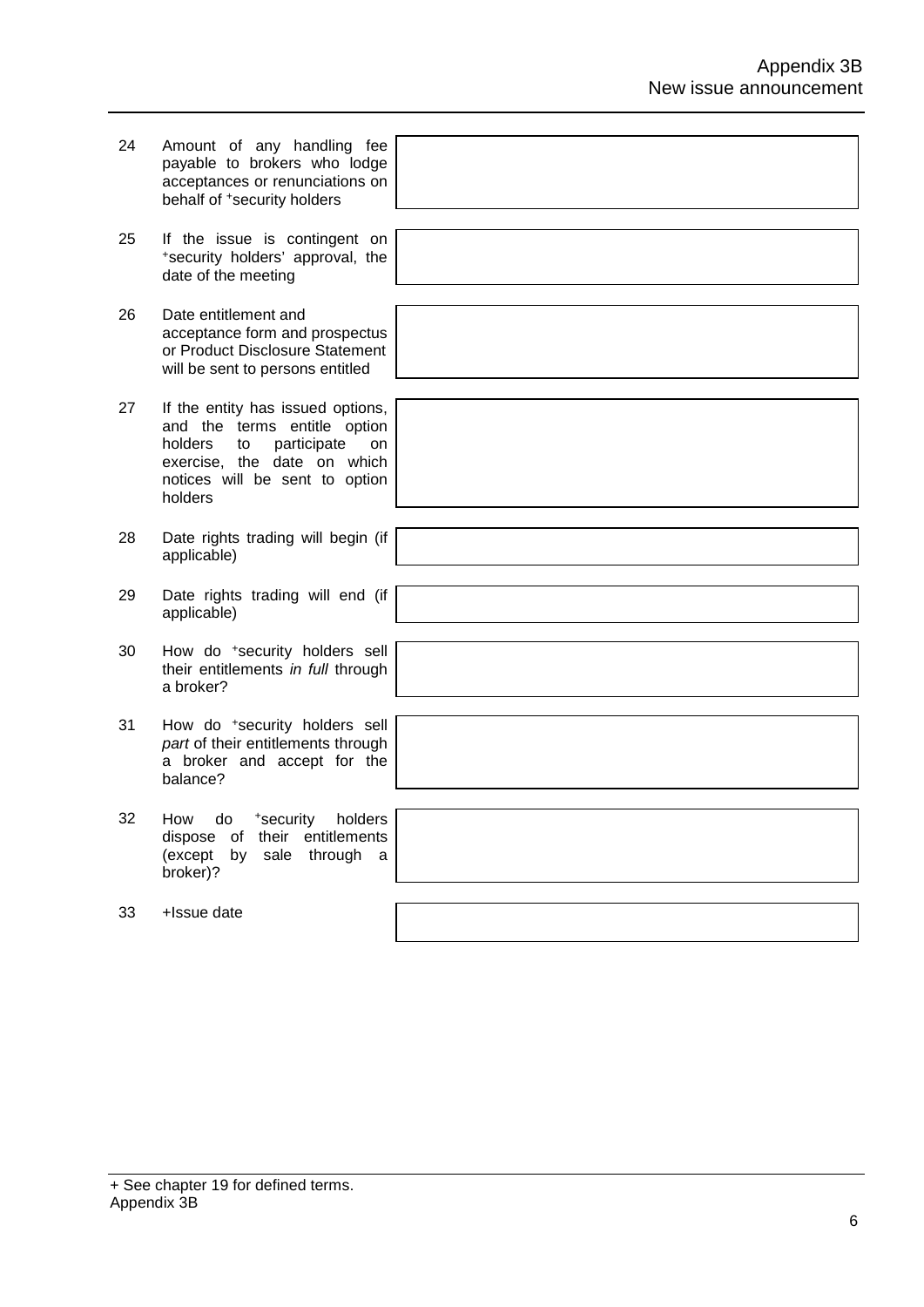| 24 | Amount of any handling fee<br>payable to brokers who lodge<br>acceptances or renunciations on<br>behalf of <sup>+</sup> security holders                                            |  |
|----|-------------------------------------------------------------------------------------------------------------------------------------------------------------------------------------|--|
| 25 | If the issue is contingent on<br>*security holders' approval, the<br>date of the meeting                                                                                            |  |
| 26 | Date entitlement and<br>acceptance form and prospectus<br>or Product Disclosure Statement<br>will be sent to persons entitled                                                       |  |
| 27 | If the entity has issued options,<br>and the terms entitle option<br>participate<br>holders<br>to<br>on<br>exercise, the date on which<br>notices will be sent to option<br>holders |  |
| 28 | Date rights trading will begin (if<br>applicable)                                                                                                                                   |  |
| 29 | Date rights trading will end (if<br>applicable)                                                                                                                                     |  |
| 30 | How do *security holders sell<br>their entitlements in full through<br>a broker?                                                                                                    |  |
| 31 | How do *security holders sell<br>part of their entitlements through<br>a broker and accept for the<br>balance?                                                                      |  |
| 32 | How do <sup>+</sup> security holders<br>dispose of their entitlements<br>(except by sale through<br>a a<br>broker)?                                                                 |  |
| 33 | +Issue date                                                                                                                                                                         |  |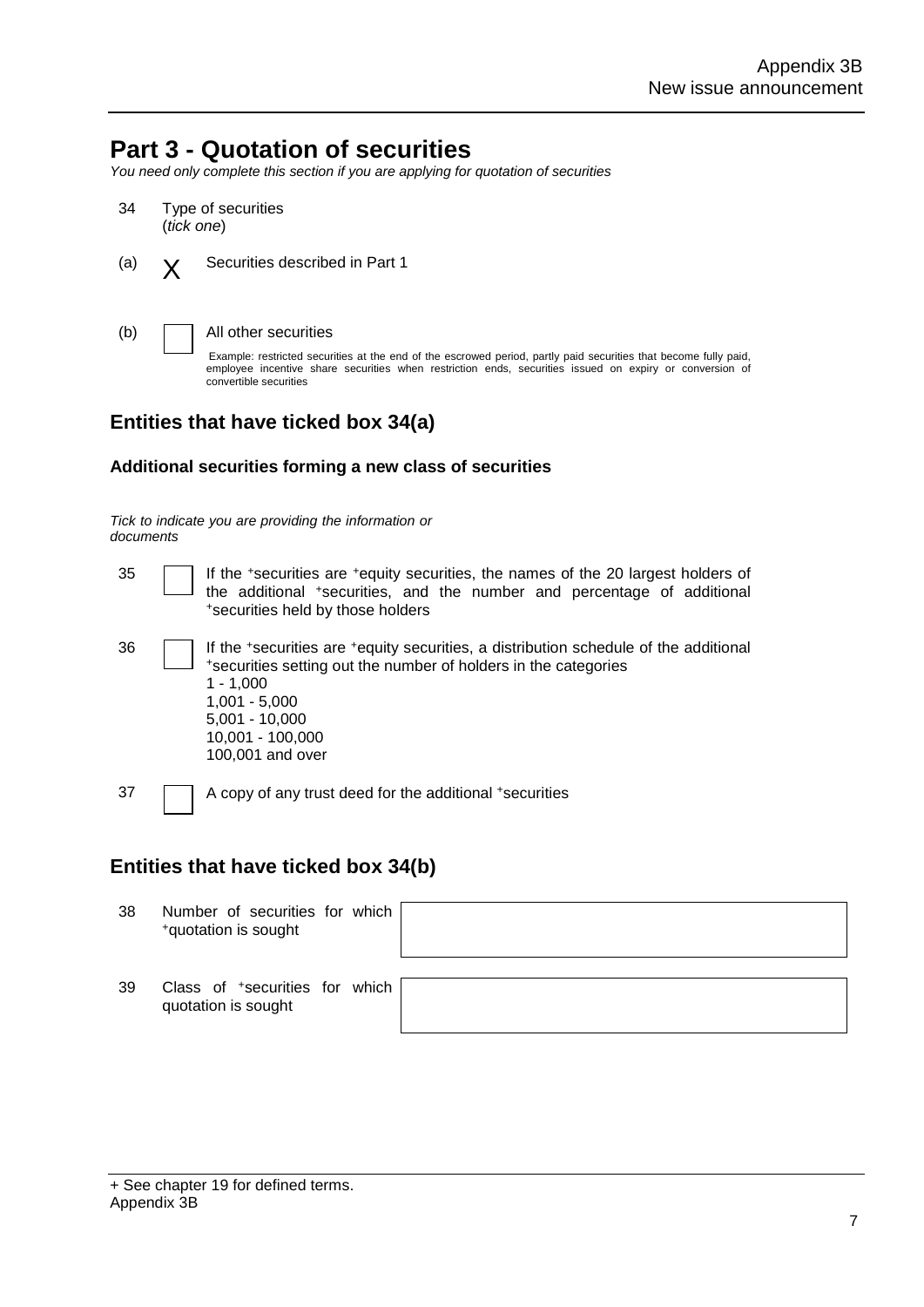### **Part 3 - Quotation of securities**

*You need only complete this section if you are applying for quotation of securities*

- 34 Type of securities (*tick one*)
- (a)  $\mathbf{Y}$  Securities described in Part 1

(b) All other securities

Example: restricted securities at the end of the escrowed period, partly paid securities that become fully paid, employee incentive share securities when restriction ends, securities issued on expiry or conversion of convertible securities

### **Entities that have ticked box 34(a)**

#### **Additional securities forming a new class of securities**

*Tick to indicate you are providing the information or documents*

- 35 If the +securities are +equity securities, the names of the 20 largest holders of the additional +securities, and the number and percentage of additional +securities held by those holders
- <sup>36</sup> If the +securities are +equity securities, a distribution schedule of the additional +securities setting out the number of holders in the categories 1 - 1,000 1,001 - 5,000 5,001 - 10,000 10,001 - 100,000 100,001 and over

37 A copy of any trust deed for the additional +securities

### **Entities that have ticked box 34(b)**

| 38 | Number of securities for which<br><sup>+</sup> quotation is sought |  |  |
|----|--------------------------------------------------------------------|--|--|
| 39 | Class of <sup>+</sup> securities for which<br>quotation is sought  |  |  |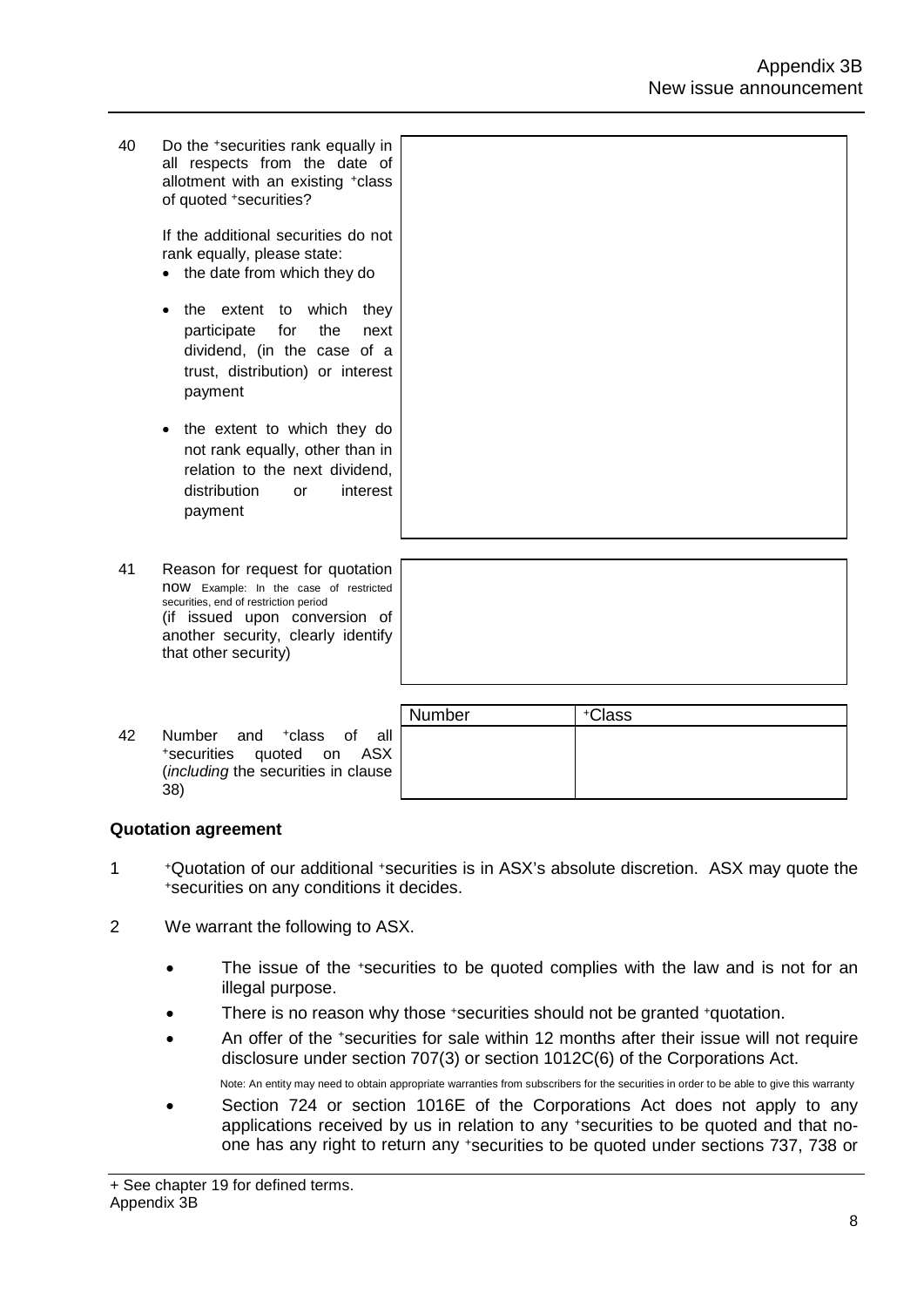40 Do the +securities rank equally in all respects from the date of allotment with an existing +class of quoted +securities?

> If the additional securities do not rank equally, please state:

- the date from which they do
- the extent to which they participate for the next dividend, (in the case of a trust, distribution) or interest payment
- the extent to which they do not rank equally, other than in relation to the next dividend, distribution or interest payment
- 41 Reason for request for quotation now Example: In the case of restricted securities, end of restriction period (if issued upon conversion of another security, clearly identify that other security)
- <sup>42</sup> Number and +class of all +securities quoted on ASX (*including* the securities in clause 38)

| Number | +Class |
|--------|--------|
|        |        |
|        |        |
|        |        |

### **Quotation agreement**

- <sup>1</sup> +Quotation of our additional +securities is in ASX's absolute discretion. ASX may quote the +securities on any conditions it decides.
- 2 We warrant the following to ASX.
	- The issue of the +securities to be quoted complies with the law and is not for an illegal purpose.
	- There is no reason why those +securities should not be granted +quotation.
	- An offer of the \*securities for sale within 12 months after their issue will not require disclosure under section 707(3) or section 1012C(6) of the Corporations Act.

Note: An entity may need to obtain appropriate warranties from subscribers for the securities in order to be able to give this warranty

• Section 724 or section 1016E of the Corporations Act does not apply to any applications received by us in relation to any +securities to be quoted and that noone has any right to return any +securities to be quoted under sections 737, 738 or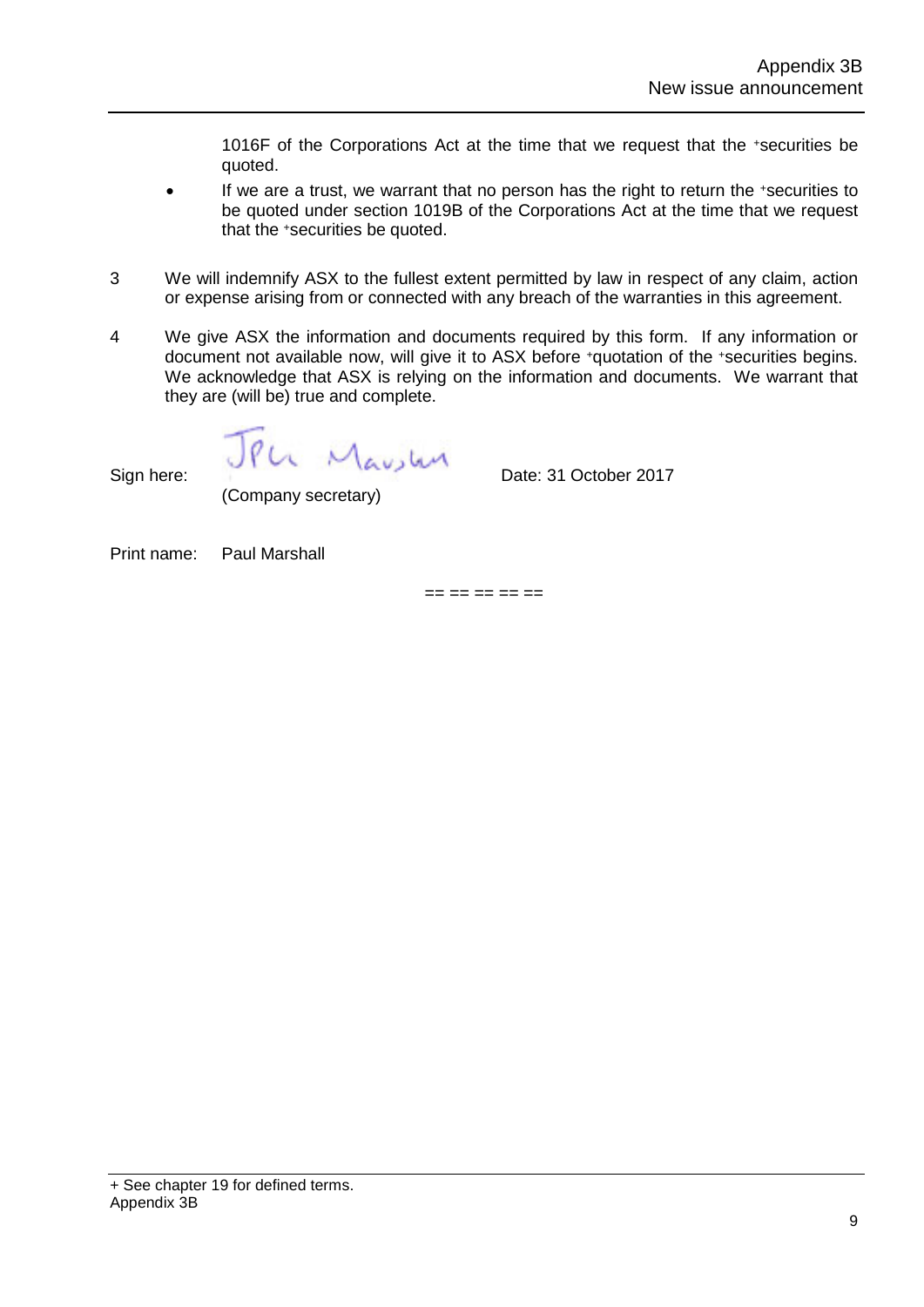1016F of the Corporations Act at the time that we request that the +securities be quoted.

- If we are a trust, we warrant that no person has the right to return the +securities to be quoted under section 1019B of the Corporations Act at the time that we request that the +securities be quoted.
- 3 We will indemnify ASX to the fullest extent permitted by law in respect of any claim, action or expense arising from or connected with any breach of the warranties in this agreement.
- 4 We give ASX the information and documents required by this form. If any information or document not available now, will give it to ASX before +quotation of the +securities begins. We acknowledge that ASX is relying on the information and documents. We warrant that they are (will be) true and complete.

Sign here:  $\bigcup P\cup\bigcup_{A\cup B\cup A}$  Date: 31 October 2017

(Company secretary)

Print name: Paul Marshall

 $=$   $=$   $=$   $=$   $=$   $=$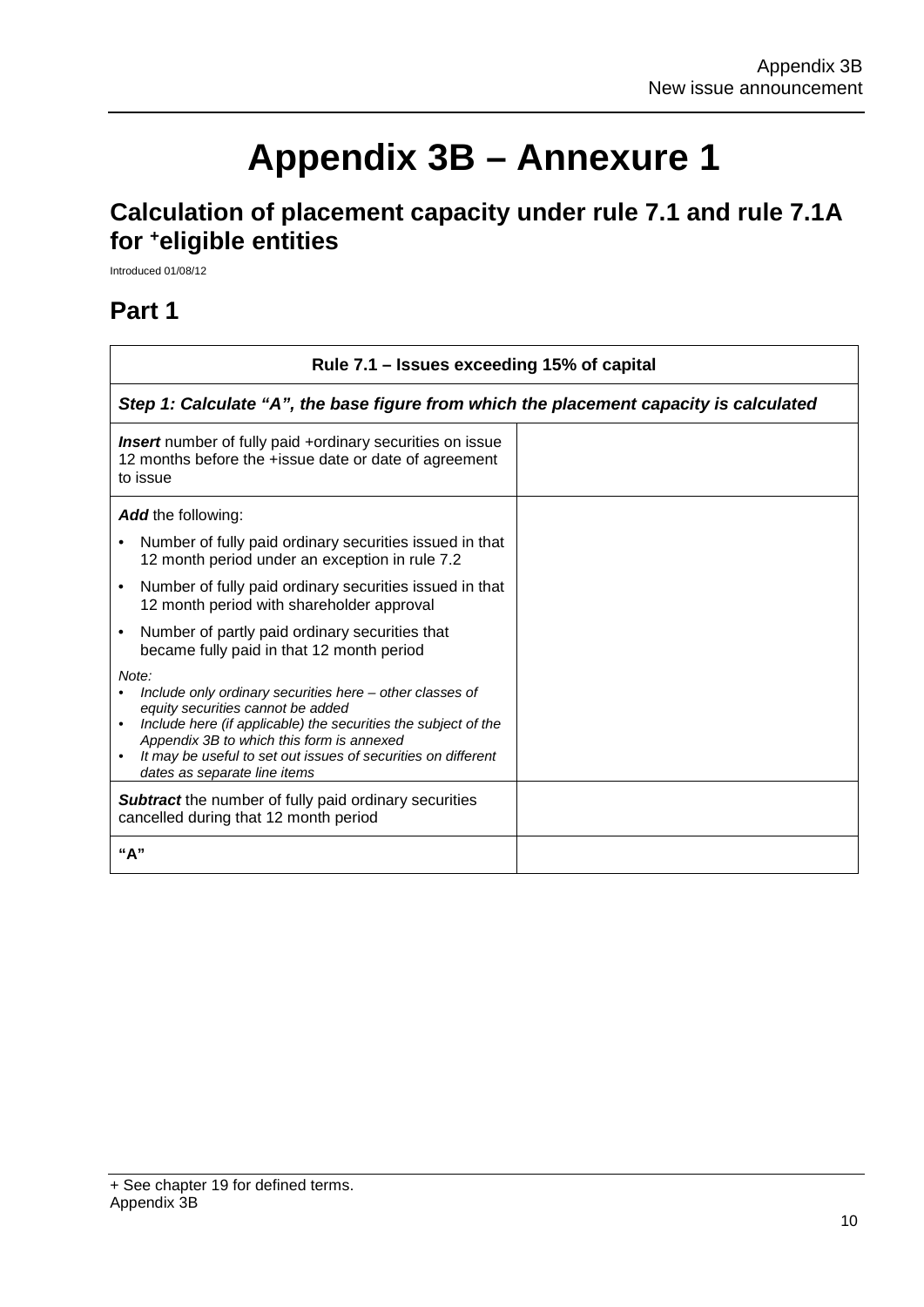٦

# **Appendix 3B – Annexure 1**

### **Calculation of placement capacity under rule 7.1 and rule 7.1A for +eligible entities**

Introduced 01/08/12

### **Part 1**

 $\Gamma$ 

| Rule 7.1 – Issues exceeding 15% of capital                                                                                                                                                                                                                                                                                                       |  |  |  |  |
|--------------------------------------------------------------------------------------------------------------------------------------------------------------------------------------------------------------------------------------------------------------------------------------------------------------------------------------------------|--|--|--|--|
| Step 1: Calculate "A", the base figure from which the placement capacity is calculated                                                                                                                                                                                                                                                           |  |  |  |  |
| Insert number of fully paid +ordinary securities on issue<br>12 months before the +issue date or date of agreement<br>to issue                                                                                                                                                                                                                   |  |  |  |  |
| Add the following:                                                                                                                                                                                                                                                                                                                               |  |  |  |  |
| Number of fully paid ordinary securities issued in that<br>12 month period under an exception in rule 7.2                                                                                                                                                                                                                                        |  |  |  |  |
| Number of fully paid ordinary securities issued in that<br>$\bullet$<br>12 month period with shareholder approval                                                                                                                                                                                                                                |  |  |  |  |
| Number of partly paid ordinary securities that<br>$\bullet$<br>became fully paid in that 12 month period                                                                                                                                                                                                                                         |  |  |  |  |
| Note:<br>Include only ordinary securities here – other classes of<br>equity securities cannot be added<br>Include here (if applicable) the securities the subject of the<br>$\bullet$<br>Appendix 3B to which this form is annexed<br>It may be useful to set out issues of securities on different<br>$\bullet$<br>dates as separate line items |  |  |  |  |
| <b>Subtract</b> the number of fully paid ordinary securities<br>cancelled during that 12 month period                                                                                                                                                                                                                                            |  |  |  |  |
| "А"                                                                                                                                                                                                                                                                                                                                              |  |  |  |  |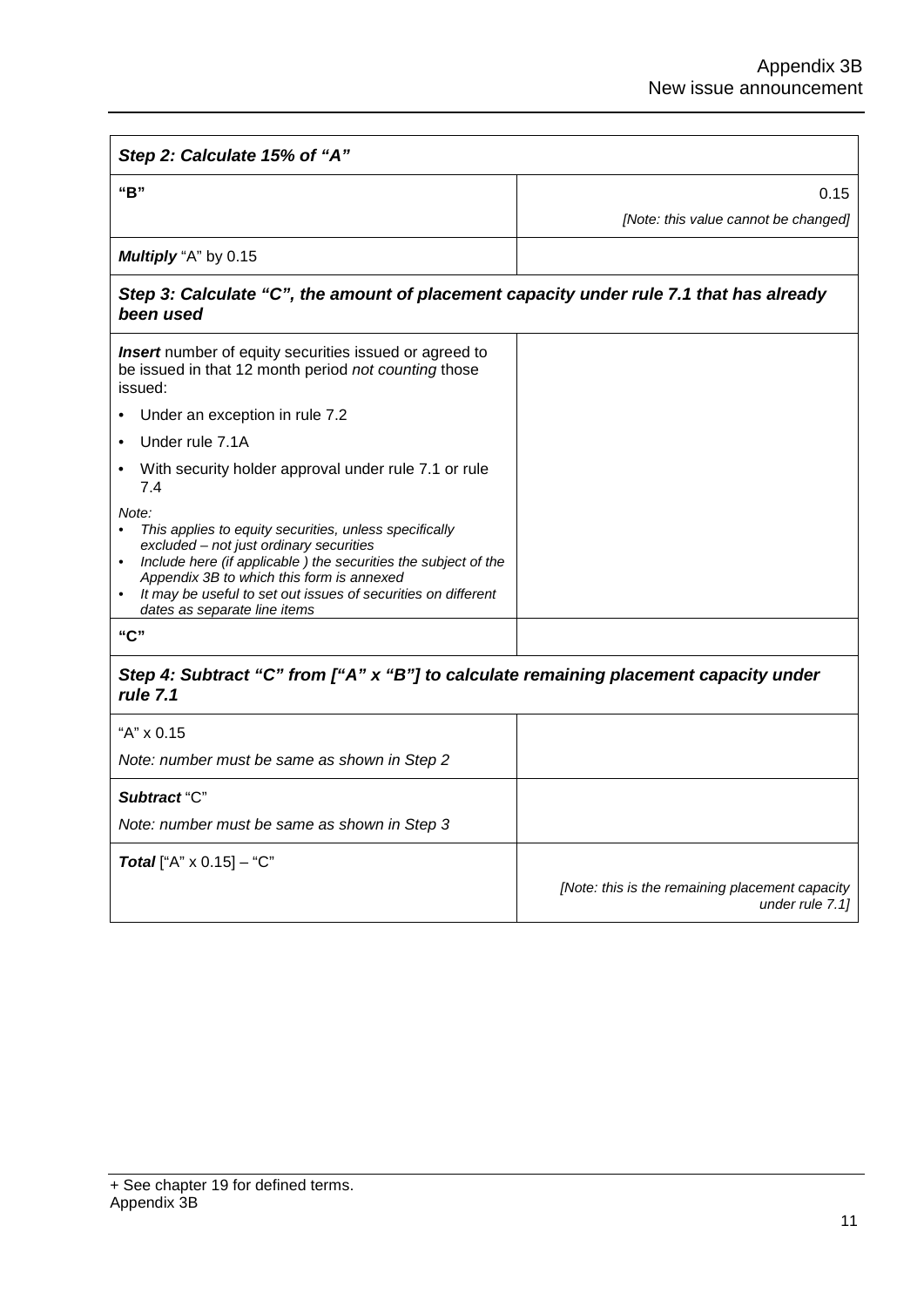| Step 2: Calculate 15% of "A"                                                                                                                                                                                                                                                                                                                                      |                                                                    |  |  |
|-------------------------------------------------------------------------------------------------------------------------------------------------------------------------------------------------------------------------------------------------------------------------------------------------------------------------------------------------------------------|--------------------------------------------------------------------|--|--|
| "B"                                                                                                                                                                                                                                                                                                                                                               | 0.15                                                               |  |  |
|                                                                                                                                                                                                                                                                                                                                                                   | [Note: this value cannot be changed]                               |  |  |
| Multiply "A" by 0.15                                                                                                                                                                                                                                                                                                                                              |                                                                    |  |  |
| Step 3: Calculate "C", the amount of placement capacity under rule 7.1 that has already<br>been used                                                                                                                                                                                                                                                              |                                                                    |  |  |
| <b>Insert</b> number of equity securities issued or agreed to<br>be issued in that 12 month period not counting those<br>issued:                                                                                                                                                                                                                                  |                                                                    |  |  |
| Under an exception in rule 7.2                                                                                                                                                                                                                                                                                                                                    |                                                                    |  |  |
| Under rule 7.1A                                                                                                                                                                                                                                                                                                                                                   |                                                                    |  |  |
| With security holder approval under rule 7.1 or rule<br>7.4                                                                                                                                                                                                                                                                                                       |                                                                    |  |  |
| Note:<br>This applies to equity securities, unless specifically<br>$\bullet$<br>excluded – not just ordinary securities<br>Include here (if applicable) the securities the subject of the<br>$\bullet$<br>Appendix 3B to which this form is annexed<br>It may be useful to set out issues of securities on different<br>$\bullet$<br>dates as separate line items |                                                                    |  |  |
| "C"                                                                                                                                                                                                                                                                                                                                                               |                                                                    |  |  |
| Step 4: Subtract "C" from ["A" x "B"] to calculate remaining placement capacity under<br>rule 7.1                                                                                                                                                                                                                                                                 |                                                                    |  |  |
| "A" x 0.15                                                                                                                                                                                                                                                                                                                                                        |                                                                    |  |  |
| Note: number must be same as shown in Step 2                                                                                                                                                                                                                                                                                                                      |                                                                    |  |  |
| Subtract "C"                                                                                                                                                                                                                                                                                                                                                      |                                                                    |  |  |
| Note: number must be same as shown in Step 3                                                                                                                                                                                                                                                                                                                      |                                                                    |  |  |
| <b>Total</b> ["A" $\times$ 0.15] - "C"                                                                                                                                                                                                                                                                                                                            |                                                                    |  |  |
|                                                                                                                                                                                                                                                                                                                                                                   | [Note: this is the remaining placement capacity<br>under rule 7.1] |  |  |